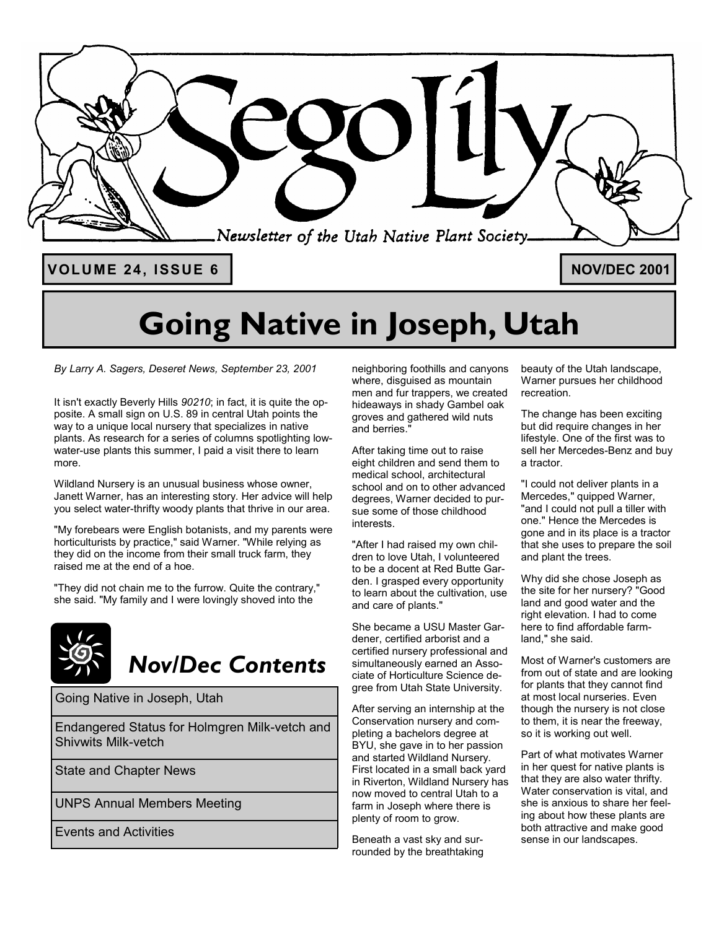

# **Going Native in Joseph, Utah**

*By Larry A. Sagers, Deseret News, September 23, 2001* 

It isn't exactly Beverly Hills *90210*; in fact, it is quite the opposite. A small sign on U.S. 89 in central Utah points the way to a unique local nursery that specializes in native plants. As research for a series of columns spotlighting lowwater-use plants this summer, I paid a visit there to learn more.

Wildland Nursery is an unusual business whose owner, Janett Warner, has an interesting story. Her advice will help you select water-thrifty woody plants that thrive in our area.

"My forebears were English botanists, and my parents were horticulturists by practice," said Warner. "While relying as they did on the income from their small truck farm, they raised me at the end of a hoe.

"They did not chain me to the furrow. Quite the contrary," she said. "My family and I were lovingly shoved into the



## *Nov/Dec Contents*

Going Native in Joseph, Utah

Endangered Status for Holmgren Milk-vetch and Shivwits Milk-vetch

State and Chapter News

UNPS Annual Members Meeting

Events and Activities

neighboring foothills and canyons where, disguised as mountain men and fur trappers, we created hideaways in shady Gambel oak groves and gathered wild nuts and berries."

After taking time out to raise eight children and send them to medical school, architectural school and on to other advanced degrees, Warner decided to pursue some of those childhood interests.

"After I had raised my own children to love Utah, I volunteered to be a docent at Red Butte Garden. I grasped every opportunity to learn about the cultivation, use and care of plants."

She became a USU Master Gardener, certified arborist and a certified nursery professional and simultaneously earned an Associate of Horticulture Science degree from Utah State University.

After serving an internship at the Conservation nursery and completing a bachelors degree at BYU, she gave in to her passion and started Wildland Nursery. First located in a small back yard in Riverton, Wildland Nursery has now moved to central Utah to a farm in Joseph where there is plenty of room to grow.

Beneath a vast sky and surrounded by the breathtaking beauty of the Utah landscape, Warner pursues her childhood recreation.

The change has been exciting but did require changes in her lifestyle. One of the first was to sell her Mercedes-Benz and buy a tractor.

"I could not deliver plants in a Mercedes," quipped Warner, "and I could not pull a tiller with one." Hence the Mercedes is gone and in its place is a tractor that she uses to prepare the soil and plant the trees.

Why did she chose Joseph as the site for her nursery? "Good land and good water and the right elevation. I had to come here to find affordable farmland," she said.

Most of Warner's customers are from out of state and are looking for plants that they cannot find at most local nurseries. Even though the nursery is not close to them, it is near the freeway, so it is working out well.

Part of what motivates Warner in her quest for native plants is that they are also water thrifty. Water conservation is vital, and she is anxious to share her feeling about how these plants are both attractive and make good sense in our landscapes.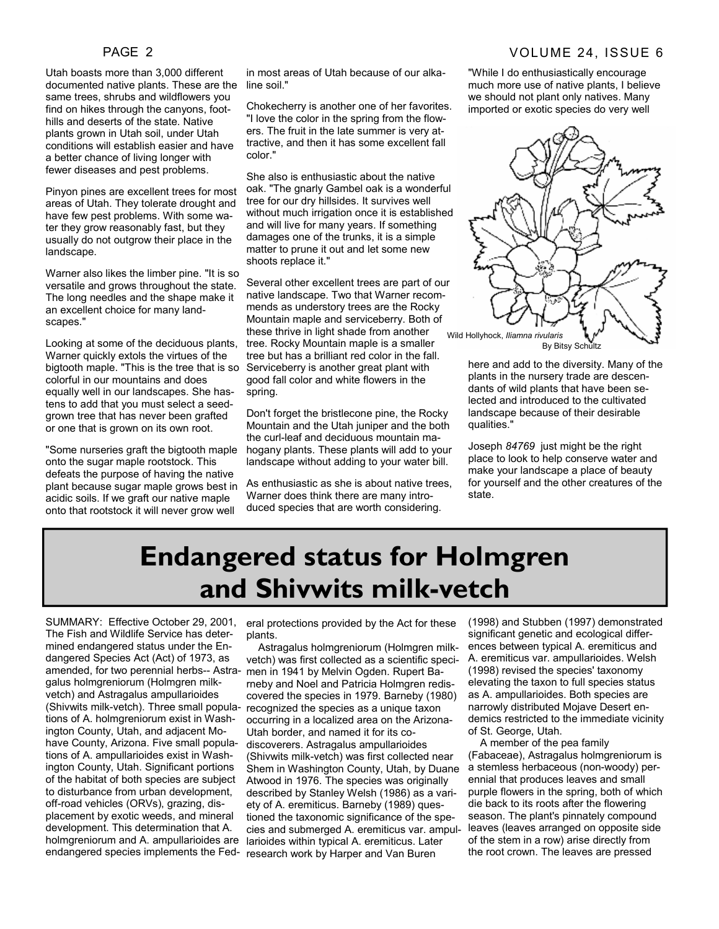#### PAGE 2 VOLUME 24, ISSUE 6

Utah boasts more than 3,000 different documented native plants. These are the same trees, shrubs and wildflowers you find on hikes through the canyons, foothills and deserts of the state. Native plants grown in Utah soil, under Utah conditions will establish easier and have a better chance of living longer with fewer diseases and pest problems.

Pinyon pines are excellent trees for most areas of Utah. They tolerate drought and have few pest problems. With some water they grow reasonably fast, but they usually do not outgrow their place in the landscape.

Warner also likes the limber pine. "It is so versatile and grows throughout the state. The long needles and the shape make it an excellent choice for many landscapes."

Looking at some of the deciduous plants, Warner quickly extols the virtues of the bigtooth maple. "This is the tree that is so colorful in our mountains and does equally well in our landscapes. She hastens to add that you must select a seedgrown tree that has never been grafted or one that is grown on its own root.

"Some nurseries graft the bigtooth maple onto the sugar maple rootstock. This defeats the purpose of having the native plant because sugar maple grows best in acidic soils. If we graft our native maple onto that rootstock it will never grow well

in most areas of Utah because of our alkaline soil."

Chokecherry is another one of her favorites. "I love the color in the spring from the flowers. The fruit in the late summer is very attractive, and then it has some excellent fall color."

She also is enthusiastic about the native oak. "The gnarly Gambel oak is a wonderful tree for our dry hillsides. It survives well without much irrigation once it is established and will live for many years. If something damages one of the trunks, it is a simple matter to prune it out and let some new shoots replace it."

Several other excellent trees are part of our native landscape. Two that Warner recommends as understory trees are the Rocky Mountain maple and serviceberry. Both of these thrive in light shade from another tree. Rocky Mountain maple is a smaller tree but has a brilliant red color in the fall. Serviceberry is another great plant with good fall color and white flowers in the spring.

Don't forget the bristlecone pine, the Rocky Mountain and the Utah juniper and the both the curl-leaf and deciduous mountain mahogany plants. These plants will add to your landscape without adding to your water bill.

As enthusiastic as she is about native trees, Warner does think there are many introduced species that are worth considering.

"While I do enthusiastically encourage much more use of native plants, I believe we should not plant only natives. Many imported or exotic species do very well



here and add to the diversity. Many of the plants in the nursery trade are descendants of wild plants that have been selected and introduced to the cultivated landscape because of their desirable qualities."

Joseph *84769* just might be the right place to look to help conserve water and make your landscape a place of beauty for yourself and the other creatures of the state.

## **Endangered status for Holmgren and Shivwits milk-vetch**

SUMMARY: Effective October 29, 2001, The Fish and Wildlife Service has determined endangered status under the Endangered Species Act (Act) of 1973, as amended, for two perennial herbs-- Astragalus holmgreniorum (Holmgren milkvetch) and Astragalus ampullarioides tions of A. holmgreniorum exist in Washington County, Utah, and adjacent Mohave County, Arizona. Five small populations of A. ampullarioides exist in Washington County, Utah. Significant portions of the habitat of both species are subject to disturbance from urban development, off-road vehicles (ORVs), grazing, displacement by exotic weeds, and mineral development. This determination that A. holmgreniorum and A. ampullarioides are

eral protections provided by the Act for these plants.

(Shivwits milk-vetch). Three small popula-recognized the species as a unique taxon endangered species implements the Fed-research work by Harper and Van Buren Astragalus holmgreniorum (Holmgren milkvetch) was first collected as a scientific specimen in 1941 by Melvin Ogden. Rupert Barneby and Noel and Patricia Holmgren rediscovered the species in 1979. Barneby (1980) occurring in a localized area on the Arizona-Utah border, and named it for its codiscoverers. Astragalus ampullarioides (Shivwits milk-vetch) was first collected near Shem in Washington County, Utah, by Duane Atwood in 1976. The species was originally described by Stanley Welsh (1986) as a variety of A. eremiticus. Barneby (1989) questioned the taxonomic significance of the species and submerged A. eremiticus var. ampullarioides within typical A. eremiticus. Later

(1998) and Stubben (1997) demonstrated significant genetic and ecological differences between typical A. eremiticus and A. eremiticus var. ampullarioides. Welsh (1998) revised the species' taxonomy elevating the taxon to full species status as A. ampullarioides. Both species are narrowly distributed Mojave Desert endemics restricted to the immediate vicinity of St. George, Utah.

 A member of the pea family (Fabaceae), Astragalus holmgreniorum is a stemless herbaceous (non-woody) perennial that produces leaves and small purple flowers in the spring, both of which die back to its roots after the flowering season. The plant's pinnately compound leaves (leaves arranged on opposite side of the stem in a row) arise directly from the root crown. The leaves are pressed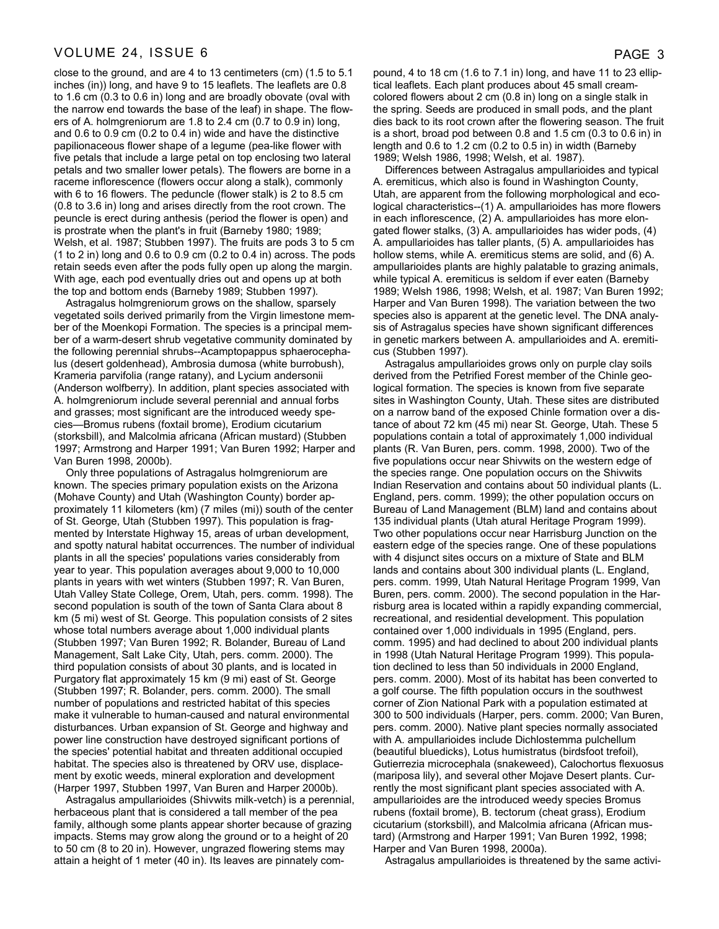#### VOLUME 24, ISSUE 6 PAGE 3

close to the ground, and are 4 to 13 centimeters (cm) (1.5 to 5.1 inches (in)) long, and have 9 to 15 leaflets. The leaflets are 0.8 to 1.6 cm (0.3 to 0.6 in) long and are broadly obovate (oval with the narrow end towards the base of the leaf) in shape. The flowers of A. holmgreniorum are 1.8 to 2.4 cm (0.7 to 0.9 in) long, and 0.6 to 0.9 cm (0.2 to 0.4 in) wide and have the distinctive papilionaceous flower shape of a legume (pea-like flower with five petals that include a large petal on top enclosing two lateral petals and two smaller lower petals). The flowers are borne in a raceme inflorescence (flowers occur along a stalk), commonly with 6 to 16 flowers. The peduncle (flower stalk) is 2 to 8.5 cm (0.8 to 3.6 in) long and arises directly from the root crown. The peuncle is erect during anthesis (period the flower is open) and is prostrate when the plant's in fruit (Barneby 1980; 1989; Welsh, et al. 1987; Stubben 1997). The fruits are pods 3 to 5 cm  $(1 to 2 in)$  long and 0.6 to 0.9 cm  $(0.2 to 0.4 in)$  across. The pods retain seeds even after the pods fully open up along the margin. With age, each pod eventually dries out and opens up at both the top and bottom ends (Barneby 1989; Stubben 1997).

 Astragalus holmgreniorum grows on the shallow, sparsely vegetated soils derived primarily from the Virgin limestone member of the Moenkopi Formation. The species is a principal member of a warm-desert shrub vegetative community dominated by the following perennial shrubs--Acamptopappus sphaerocephalus (desert goldenhead), Ambrosia dumosa (white burrobush), Krameria parvifolia (range ratany), and Lycium andersonii (Anderson wolfberry). In addition, plant species associated with A. holmgreniorum include several perennial and annual forbs and grasses; most significant are the introduced weedy species—Bromus rubens (foxtail brome), Erodium cicutarium (storksbill), and Malcolmia africana (African mustard) (Stubben 1997; Armstrong and Harper 1991; Van Buren 1992; Harper and Van Buren 1998, 2000b).

 Only three populations of Astragalus holmgreniorum are known. The species primary population exists on the Arizona (Mohave County) and Utah (Washington County) border approximately 11 kilometers (km) (7 miles (mi)) south of the center of St. George, Utah (Stubben 1997). This population is fragmented by Interstate Highway 15, areas of urban development, and spotty natural habitat occurrences. The number of individual plants in all the species' populations varies considerably from year to year. This population averages about 9,000 to 10,000 plants in years with wet winters (Stubben 1997; R. Van Buren, Utah Valley State College, Orem, Utah, pers. comm. 1998). The second population is south of the town of Santa Clara about 8 km (5 mi) west of St. George. This population consists of 2 sites whose total numbers average about 1,000 individual plants (Stubben 1997; Van Buren 1992; R. Bolander, Bureau of Land Management, Salt Lake City, Utah, pers. comm. 2000). The third population consists of about 30 plants, and is located in Purgatory flat approximately 15 km (9 mi) east of St. George (Stubben 1997; R. Bolander, pers. comm. 2000). The small number of populations and restricted habitat of this species make it vulnerable to human-caused and natural environmental disturbances. Urban expansion of St. George and highway and power line construction have destroyed significant portions of the species' potential habitat and threaten additional occupied habitat. The species also is threatened by ORV use, displacement by exotic weeds, mineral exploration and development (Harper 1997, Stubben 1997, Van Buren and Harper 2000b).

 Astragalus ampullarioides (Shivwits milk-vetch) is a perennial, herbaceous plant that is considered a tall member of the pea family, although some plants appear shorter because of grazing impacts. Stems may grow along the ground or to a height of 20 to 50 cm (8 to 20 in). However, ungrazed flowering stems may attain a height of 1 meter (40 in). Its leaves are pinnately com-

pound, 4 to 18 cm (1.6 to 7.1 in) long, and have 11 to 23 elliptical leaflets. Each plant produces about 45 small creamcolored flowers about 2 cm (0.8 in) long on a single stalk in the spring. Seeds are produced in small pods, and the plant dies back to its root crown after the flowering season. The fruit is a short, broad pod between 0.8 and 1.5 cm (0.3 to 0.6 in) in length and 0.6 to 1.2 cm (0.2 to 0.5 in) in width (Barneby 1989; Welsh 1986, 1998; Welsh, et al. 1987).

 Differences between Astragalus ampullarioides and typical A. eremiticus, which also is found in Washington County, Utah, are apparent from the following morphological and ecological characteristics--(1) A. ampullarioides has more flowers in each inflorescence, (2) A. ampullarioides has more elongated flower stalks, (3) A. ampullarioides has wider pods, (4) A. ampullarioides has taller plants, (5) A. ampullarioides has hollow stems, while A. eremiticus stems are solid, and (6) A. ampullarioides plants are highly palatable to grazing animals, while typical A. eremiticus is seldom if ever eaten (Barneby 1989; Welsh 1986, 1998; Welsh, et al. 1987; Van Buren 1992; Harper and Van Buren 1998). The variation between the two species also is apparent at the genetic level. The DNA analysis of Astragalus species have shown significant differences in genetic markers between A. ampullarioides and A. eremiticus (Stubben 1997).

 Astragalus ampullarioides grows only on purple clay soils derived from the Petrified Forest member of the Chinle geological formation. The species is known from five separate sites in Washington County, Utah. These sites are distributed on a narrow band of the exposed Chinle formation over a distance of about 72 km (45 mi) near St. George, Utah. These 5 populations contain a total of approximately 1,000 individual plants (R. Van Buren, pers. comm. 1998, 2000). Two of the five populations occur near Shivwits on the western edge of the species range. One population occurs on the Shivwits Indian Reservation and contains about 50 individual plants (L. England, pers. comm. 1999); the other population occurs on Bureau of Land Management (BLM) land and contains about 135 individual plants (Utah atural Heritage Program 1999). Two other populations occur near Harrisburg Junction on the eastern edge of the species range. One of these populations with 4 disjunct sites occurs on a mixture of State and BLM lands and contains about 300 individual plants (L. England, pers. comm. 1999, Utah Natural Heritage Program 1999, Van Buren, pers. comm. 2000). The second population in the Harrisburg area is located within a rapidly expanding commercial, recreational, and residential development. This population contained over 1,000 individuals in 1995 (England, pers. comm. 1995) and had declined to about 200 individual plants in 1998 (Utah Natural Heritage Program 1999). This population declined to less than 50 individuals in 2000 England, pers. comm. 2000). Most of its habitat has been converted to a golf course. The fifth population occurs in the southwest corner of Zion National Park with a population estimated at 300 to 500 individuals (Harper, pers. comm. 2000; Van Buren, pers. comm. 2000). Native plant species normally associated with A. ampullarioides include Dichlostemma pulchellum (beautiful bluedicks), Lotus humistratus (birdsfoot trefoil), Gutierrezia microcephala (snakeweed), Calochortus flexuosus (mariposa lily), and several other Mojave Desert plants. Currently the most significant plant species associated with A. ampullarioides are the introduced weedy species Bromus rubens (foxtail brome), B. tectorum (cheat grass), Erodium cicutarium (storksbill), and Malcolmia africana (African mustard) (Armstrong and Harper 1991; Van Buren 1992, 1998; Harper and Van Buren 1998, 2000a).

Astragalus ampullarioides is threatened by the same activi-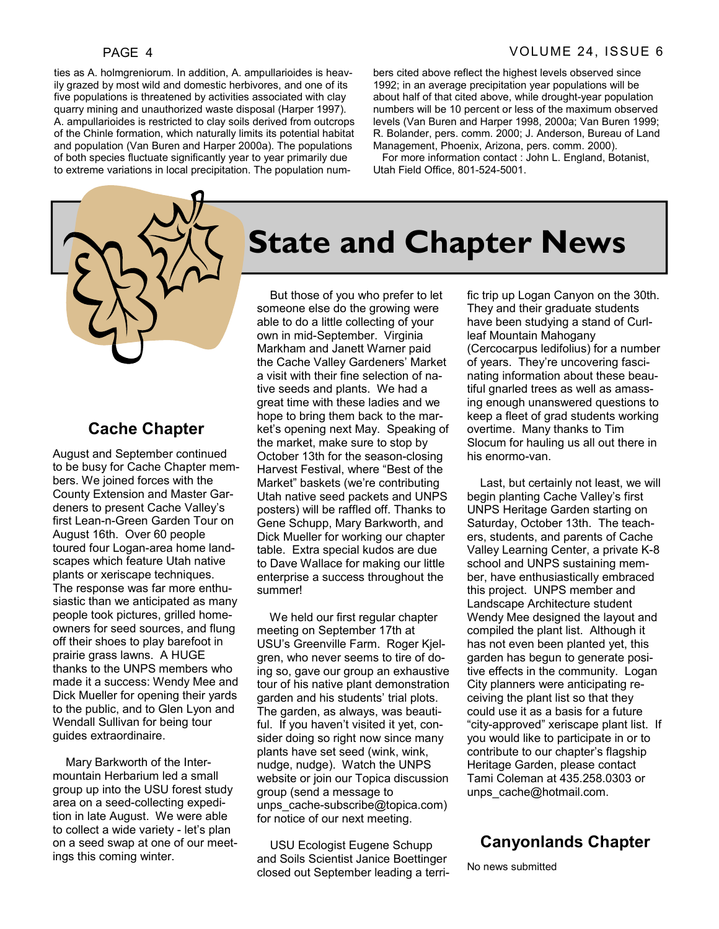ties as A. holmgreniorum. In addition, A. ampullarioides is heavily grazed by most wild and domestic herbivores, and one of its five populations is threatened by activities associated with clay quarry mining and unauthorized waste disposal (Harper 1997). A. ampullarioides is restricted to clay soils derived from outcrops of the Chinle formation, which naturally limits its potential habitat and population (Van Buren and Harper 2000a). The populations of both species fluctuate significantly year to year primarily due to extreme variations in local precipitation. The population numbers cited above reflect the highest levels observed since 1992; in an average precipitation year populations will be about half of that cited above, while drought-year population numbers will be 10 percent or less of the maximum observed levels (Van Buren and Harper 1998, 2000a; Van Buren 1999; R. Bolander, pers. comm. 2000; J. Anderson, Bureau of Land Management, Phoenix, Arizona, pers. comm. 2000).

 For more information contact : John L. England, Botanist, Utah Field Office, 801-524-5001.



#### **Cache Chapter**

August and September continued to be busy for Cache Chapter members. We joined forces with the County Extension and Master Gardeners to present Cache Valley's first Lean-n-Green Garden Tour on August 16th. Over 60 people toured four Logan-area home landscapes which feature Utah native plants or xeriscape techniques. The response was far more enthusiastic than we anticipated as many people took pictures, grilled homeowners for seed sources, and flung off their shoes to play barefoot in prairie grass lawns. A HUGE thanks to the UNPS members who made it a success: Wendy Mee and Dick Mueller for opening their yards to the public, and to Glen Lyon and Wendall Sullivan for being tour guides extraordinaire.

 Mary Barkworth of the Intermountain Herbarium led a small group up into the USU forest study area on a seed-collecting expedition in late August. We were able to collect a wide variety - let's plan on a seed swap at one of our meetings this coming winter.

# **State and Chapter News**

 But those of you who prefer to let someone else do the growing were able to do a little collecting of your own in mid-September. Virginia Markham and Janett Warner paid the Cache Valley Gardeners' Market a visit with their fine selection of native seeds and plants. We had a great time with these ladies and we hope to bring them back to the market's opening next May. Speaking of the market, make sure to stop by October 13th for the season-closing Harvest Festival, where "Best of the Market" baskets (we're contributing Utah native seed packets and UNPS posters) will be raffled off. Thanks to Gene Schupp, Mary Barkworth, and Dick Mueller for working our chapter table. Extra special kudos are due to Dave Wallace for making our little enterprise a success throughout the summer!

 We held our first regular chapter meeting on September 17th at USU's Greenville Farm. Roger Kjelgren, who never seems to tire of doing so, gave our group an exhaustive tour of his native plant demonstration garden and his students' trial plots. The garden, as always, was beautiful. If you haven't visited it yet, consider doing so right now since many plants have set seed (wink, wink, nudge, nudge). Watch the UNPS website or join our Topica discussion group (send a message to unps\_cache-subscribe@topica.com) for notice of our next meeting.

 USU Ecologist Eugene Schupp and Soils Scientist Janice Boettinger closed out September leading a terrific trip up Logan Canyon on the 30th. They and their graduate students have been studying a stand of Curlleaf Mountain Mahogany (Cercocarpus ledifolius) for a number of years. They're uncovering fascinating information about these beautiful gnarled trees as well as amassing enough unanswered questions to keep a fleet of grad students working overtime. Many thanks to Tim Slocum for hauling us all out there in his enormo-van.

 Last, but certainly not least, we will begin planting Cache Valley's first UNPS Heritage Garden starting on Saturday, October 13th. The teachers, students, and parents of Cache Valley Learning Center, a private K-8 school and UNPS sustaining member, have enthusiastically embraced this project. UNPS member and Landscape Architecture student Wendy Mee designed the layout and compiled the plant list. Although it has not even been planted yet, this garden has begun to generate positive effects in the community. Logan City planners were anticipating receiving the plant list so that they could use it as a basis for a future "city-approved" xeriscape plant list. If you would like to participate in or to contribute to our chapter's flagship Heritage Garden, please contact Tami Coleman at 435.258.0303 or unps\_cache@hotmail.com.

### **Canyonlands Chapter**

No news submitted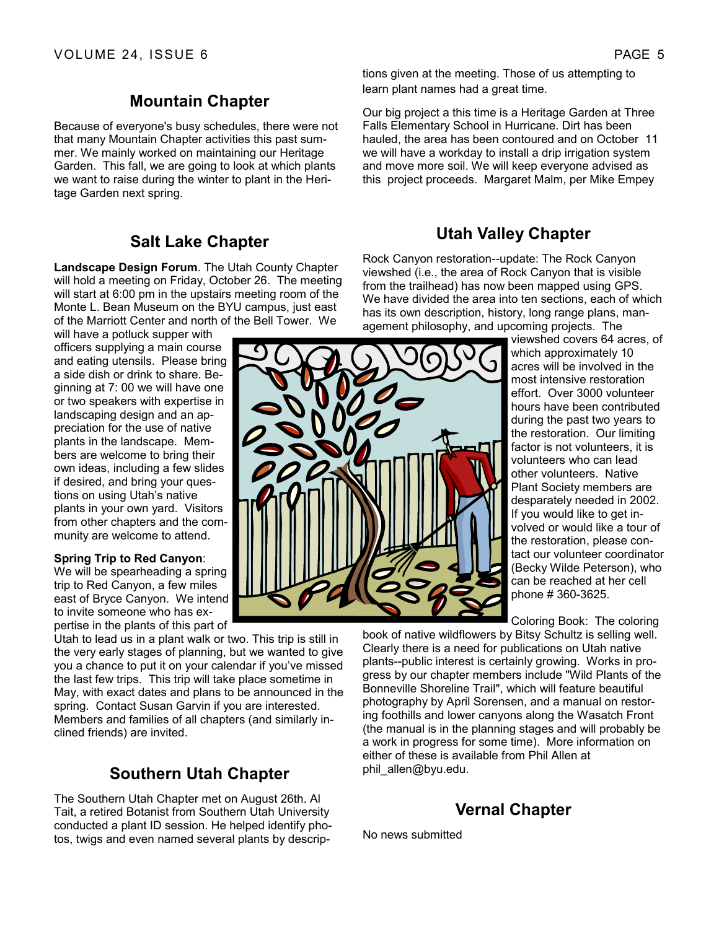#### **Mountain Chapter**

Because of everyone's busy schedules, there were not that many Mountain Chapter activities this past summer. We mainly worked on maintaining our Heritage Garden. This fall, we are going to look at which plants we want to raise during the winter to plant in the Heritage Garden next spring.

#### **Salt Lake Chapter**

**Landscape Design Forum**. The Utah County Chapter will hold a meeting on Friday, October 26. The meeting will start at 6:00 pm in the upstairs meeting room of the Monte L. Bean Museum on the BYU campus, just east of the Marriott Center and north of the Bell Tower. We

will have a potluck supper with officers supplying a main course and eating utensils. Please bring a side dish or drink to share. Beginning at 7: 00 we will have one or two speakers with expertise in landscaping design and an appreciation for the use of native plants in the landscape. Members are welcome to bring their own ideas, including a few slides if desired, and bring your questions on using Utah's native plants in your own yard. Visitors from other chapters and the community are welcome to attend.

#### **Spring Trip to Red Canyon**:

We will be spearheading a spring trip to Red Canyon, a few miles east of Bryce Canyon. We intend to invite someone who has expertise in the plants of this part of

Utah to lead us in a plant walk or two. This trip is still in the very early stages of planning, but we wanted to give you a chance to put it on your calendar if you've missed the last few trips. This trip will take place sometime in May, with exact dates and plans to be announced in the spring. Contact Susan Garvin if you are interested. Members and families of all chapters (and similarly inclined friends) are invited.

### **Southern Utah Chapter**

The Southern Utah Chapter met on August 26th. Al Tait, a retired Botanist from Southern Utah University conducted a plant ID session. He helped identify photos, twigs and even named several plants by descriptions given at the meeting. Those of us attempting to learn plant names had a great time.

Our big project a this time is a Heritage Garden at Three Falls Elementary School in Hurricane. Dirt has been hauled, the area has been contoured and on October 11 we will have a workday to install a drip irrigation system and move more soil. We will keep everyone advised as this project proceeds. Margaret Malm, per Mike Empey

### **Utah Valley Chapter**

Rock Canyon restoration--update: The Rock Canyon viewshed (i.e., the area of Rock Canyon that is visible from the trailhead) has now been mapped using GPS. We have divided the area into ten sections, each of which has its own description, history, long range plans, management philosophy, and upcoming projects. The

> viewshed covers 64 acres, of which approximately 10 acres will be involved in the most intensive restoration effort. Over 3000 volunteer hours have been contributed during the past two years to the restoration. Our limiting factor is not volunteers, it is volunteers who can lead other volunteers. Native Plant Society members are desparately needed in 2002. If you would like to get involved or would like a tour of the restoration, please contact our volunteer coordinator (Becky Wilde Peterson), who can be reached at her cell phone # 360-3625.

Coloring Book: The coloring

book of native wildflowers by Bitsy Schultz is selling well. Clearly there is a need for publications on Utah native plants--public interest is certainly growing. Works in progress by our chapter members include "Wild Plants of the Bonneville Shoreline Trail", which will feature beautiful photography by April Sorensen, and a manual on restoring foothills and lower canyons along the Wasatch Front (the manual is in the planning stages and will probably be a work in progress for some time). More information on either of these is available from Phil Allen at phil\_allen@byu.edu.

### **Vernal Chapter**

No news submitted

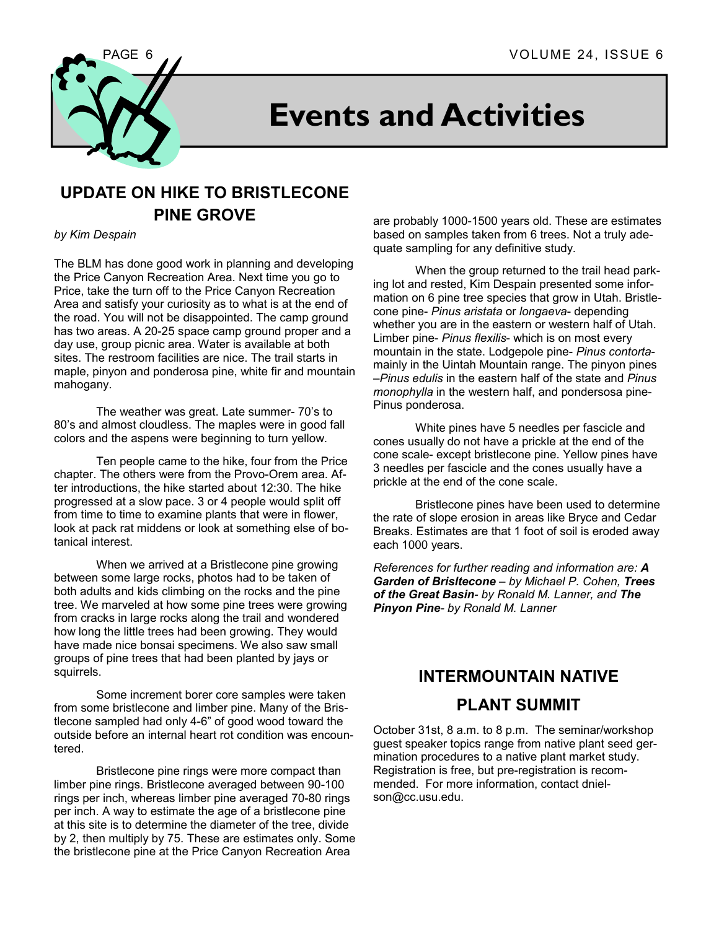

# **Events and Activities**

### **UPDATE ON HIKE TO BRISTLECONE PINE GROVE**

#### *by Kim Despain*

The BLM has done good work in planning and developing the Price Canyon Recreation Area. Next time you go to Price, take the turn off to the Price Canyon Recreation Area and satisfy your curiosity as to what is at the end of the road. You will not be disappointed. The camp ground has two areas. A 20-25 space camp ground proper and a day use, group picnic area. Water is available at both sites. The restroom facilities are nice. The trail starts in maple, pinyon and ponderosa pine, white fir and mountain mahogany.

 The weather was great. Late summer- 70's to 80's and almost cloudless. The maples were in good fall colors and the aspens were beginning to turn yellow.

 Ten people came to the hike, four from the Price chapter. The others were from the Provo-Orem area. After introductions, the hike started about 12:30. The hike progressed at a slow pace. 3 or 4 people would split off from time to time to examine plants that were in flower, look at pack rat middens or look at something else of botanical interest.

 When we arrived at a Bristlecone pine growing between some large rocks, photos had to be taken of both adults and kids climbing on the rocks and the pine tree. We marveled at how some pine trees were growing from cracks in large rocks along the trail and wondered how long the little trees had been growing. They would have made nice bonsai specimens. We also saw small groups of pine trees that had been planted by jays or squirrels.

 Some increment borer core samples were taken from some bristlecone and limber pine. Many of the Bristlecone sampled had only 4-6" of good wood toward the outside before an internal heart rot condition was encountered.

 Bristlecone pine rings were more compact than limber pine rings. Bristlecone averaged between 90-100 rings per inch, whereas limber pine averaged 70-80 rings per inch. A way to estimate the age of a bristlecone pine at this site is to determine the diameter of the tree, divide by 2, then multiply by 75. These are estimates only. Some the bristlecone pine at the Price Canyon Recreation Area

are probably 1000-1500 years old. These are estimates based on samples taken from 6 trees. Not a truly adequate sampling for any definitive study.

 When the group returned to the trail head parking lot and rested, Kim Despain presented some information on 6 pine tree species that grow in Utah. Bristlecone pine- *Pinus aristata* or *longaeva*- depending whether you are in the eastern or western half of Utah. Limber pine- *Pinus flexilis*- which is on most every mountain in the state. Lodgepole pine- *Pinus contorta*mainly in the Uintah Mountain range. The pinyon pines –*Pinus edulis* in the eastern half of the state and *Pinus monophylla* in the western half, and pondersosa pine-Pinus ponderosa.

 White pines have 5 needles per fascicle and cones usually do not have a prickle at the end of the cone scale- except bristlecone pine. Yellow pines have 3 needles per fascicle and the cones usually have a prickle at the end of the cone scale.

 Bristlecone pines have been used to determine the rate of slope erosion in areas like Bryce and Cedar Breaks. Estimates are that 1 foot of soil is eroded away each 1000 years.

*References for further reading and information are: A Garden of Brisltecone – by Michael P. Cohen, Trees of the Great Basin- by Ronald M. Lanner, and The Pinyon Pine- by Ronald M. Lanner* 

### **INTERMOUNTAIN NATIVE PLANT SUMMIT**

October 31st, 8 a.m. to 8 p.m. The seminar/workshop guest speaker topics range from native plant seed germination procedures to a native plant market study. Registration is free, but pre-registration is recommended. For more information, contact dnielson@cc.usu.edu.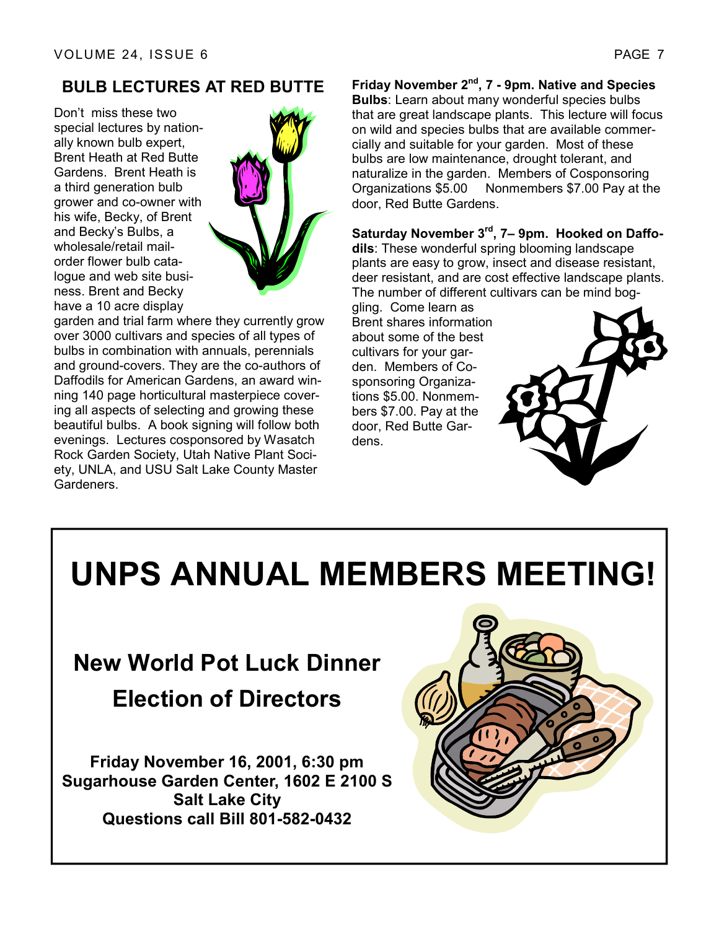### **BULB LECTURES AT RED BUTTE**

Don't miss these two special lectures by nationally known bulb expert, Brent Heath at Red Butte Gardens. Brent Heath is a third generation bulb grower and co-owner with his wife, Becky, of Brent and Becky's Bulbs, a wholesale/retail mailorder flower bulb catalogue and web site business. Brent and Becky have a 10 acre display



garden and trial farm where they currently grow over 3000 cultivars and species of all types of bulbs in combination with annuals, perennials and ground-covers. They are the co-authors of Daffodils for American Gardens, an award winning 140 page horticultural masterpiece covering all aspects of selecting and growing these beautiful bulbs. A book signing will follow both evenings. Lectures cosponsored by Wasatch Rock Garden Society, Utah Native Plant Society, UNLA, and USU Salt Lake County Master Gardeners.

**Friday November 2nd, 7 - 9pm. Native and Species Bulbs**: Learn about many wonderful species bulbs that are great landscape plants. This lecture will focus on wild and species bulbs that are available commercially and suitable for your garden. Most of these bulbs are low maintenance, drought tolerant, and naturalize in the garden. Members of Cosponsoring Organizations \$5.00 Nonmembers \$7.00 Pay at the door, Red Butte Gardens.

**Saturday November 3rd, 7– 9pm. Hooked on Daffodils**: These wonderful spring blooming landscape plants are easy to grow, insect and disease resistant, deer resistant, and are cost effective landscape plants. The number of different cultivars can be mind bog-

gling. Come learn as Brent shares information about some of the best cultivars for your garden. Members of Cosponsoring Organizations \$5.00. Nonmembers \$7.00. Pay at the door, Red Butte Gardens.



# **UNPS ANNUAL MEMBERS MEETING!**

# **New World Pot Luck Dinner Election of Directors**

**Friday November 16, 2001, 6:30 pm Sugarhouse Garden Center, 1602 E 2100 S Salt Lake City Questions call Bill 801-582-0432**